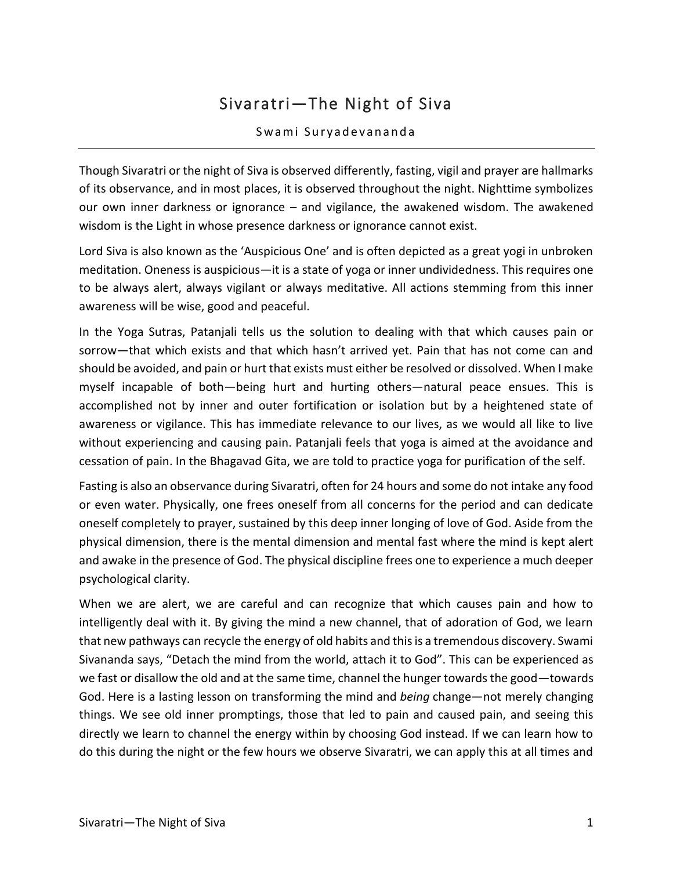## Sivaratri—The Night of Siva

## Swami Suryadevananda

Though Sivaratri or the night of Siva is observed differently, fasting, vigil and prayer are hallmarks of its observance, and in most places, it is observed throughout the night. Nighttime symbolizes our own inner darkness or ignorance – and vigilance, the awakened wisdom. The awakened wisdom is the Light in whose presence darkness or ignorance cannot exist.

Lord Siva is also known as the 'Auspicious One' and is often depicted as a great yogi in unbroken meditation. Oneness is auspicious—it is a state of yoga or inner undividedness. This requires one to be always alert, always vigilant or always meditative. All actions stemming from this inner awareness will be wise, good and peaceful.

In the Yoga Sutras, Patanjali tells us the solution to dealing with that which causes pain or sorrow—that which exists and that which hasn't arrived yet. Pain that has not come can and should be avoided, and pain or hurt that exists must either be resolved or dissolved. When I make myself incapable of both—being hurt and hurting others—natural peace ensues. This is accomplished not by inner and outer fortification or isolation but by a heightened state of awareness or vigilance. This has immediate relevance to our lives, as we would all like to live without experiencing and causing pain. Patanjali feels that yoga is aimed at the avoidance and cessation of pain. In the Bhagavad Gita, we are told to practice yoga for purification of the self.

Fasting is also an observance during Sivaratri, often for 24 hours and some do not intake any food or even water. Physically, one frees oneself from all concerns for the period and can dedicate oneself completely to prayer, sustained by this deep inner longing of love of God. Aside from the physical dimension, there is the mental dimension and mental fast where the mind is kept alert and awake in the presence of God. The physical discipline frees one to experience a much deeper psychological clarity.

When we are alert, we are careful and can recognize that which causes pain and how to intelligently deal with it. By giving the mind a new channel, that of adoration of God, we learn that new pathways can recycle the energy of old habits and this is a tremendous discovery. Swami Sivananda says, "Detach the mind from the world, attach it to God". This can be experienced as we fast or disallow the old and at the same time, channel the hunger towards the good—towards God. Here is a lasting lesson on transforming the mind and *being* change—not merely changing things. We see old inner promptings, those that led to pain and caused pain, and seeing this directly we learn to channel the energy within by choosing God instead. If we can learn how to do this during the night or the few hours we observe Sivaratri, we can apply this at all times and